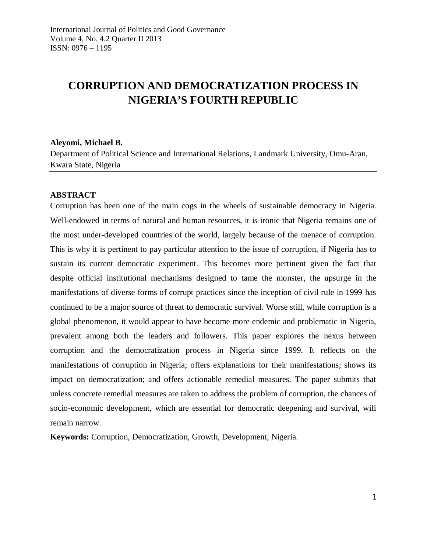# **CORRUPTION AND DEMOCRATIZATION PROCESS IN NIGERIA'S FOURTH REPUBLIC**

# **Aleyomi, Michael B.**

Department of Political Science and International Relations, Landmark University, Omu-Aran, Kwara State, Nigeria

# **ABSTRACT**

Corruption has been one of the main cogs in the wheels of sustainable democracy in Nigeria. Well-endowed in terms of natural and human resources, it is ironic that Nigeria remains one of the most under-developed countries of the world, largely because of the menace of corruption. This is why it is pertinent to pay particular attention to the issue of corruption, if Nigeria has to sustain its current democratic experiment. This becomes more pertinent given the fact that despite official institutional mechanisms designed to tame the monster, the upsurge in the manifestations of diverse forms of corrupt practices since the inception of civil rule in 1999 has continued to be a major source of threat to democratic survival. Worse still, while corruption is a global phenomenon, it would appear to have become more endemic and problematic in Nigeria, prevalent among both the leaders and followers. This paper explores the nexus between corruption and the democratization process in Nigeria since 1999. It reflects on the manifestations of corruption in Nigeria; offers explanations for their manifestations; shows its impact on democratization; and offers actionable remedial measures. The paper submits that unless concrete remedial measures are taken to address the problem of corruption, the chances of socio-economic development, which are essential for democratic deepening and survival, will remain narrow.

**Keywords:** Corruption, Democratization, Growth, Development, Nigeria.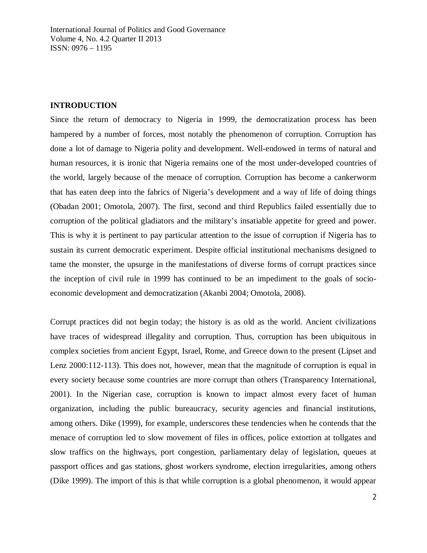International Journal of Politics and Good Governance Volume 4, No. 4.2 Quarter II 2013 ISSN: 0976 – 1195

## **INTRODUCTION**

Since the return of democracy to Nigeria in 1999, the democratization process has been hampered by a number of forces, most notably the phenomenon of corruption. Corruption has done a lot of damage to Nigeria polity and development. Well-endowed in terms of natural and human resources, it is ironic that Nigeria remains one of the most under-developed countries of the world, largely because of the menace of corruption. Corruption has become a cankerworm that has eaten deep into the fabrics of Nigeria's development and a way of life of doing things (Obadan 2001; Omotola, 2007). The first, second and third Republics failed essentially due to corruption of the political gladiators and the military's insatiable appetite for greed and power. This is why it is pertinent to pay particular attention to the issue of corruption if Nigeria has to sustain its current democratic experiment. Despite official institutional mechanisms designed to tame the monster, the upsurge in the manifestations of diverse forms of corrupt practices since the inception of civil rule in 1999 has continued to be an impediment to the goals of socioeconomic development and democratization (Akanbi 2004; Omotola, 2008).

Corrupt practices did not begin today; the history is as old as the world. Ancient civilizations have traces of widespread illegality and corruption. Thus, corruption has been ubiquitous in complex societies from ancient Egypt, Israel, Rome, and Greece down to the present (Lipset and Lenz 2000:112-113). This does not, however, mean that the magnitude of corruption is equal in every society because some countries are more corrupt than others (Transparency International, 2001). In the Nigerian case, corruption is known to impact almost every facet of human organization, including the public bureaucracy, security agencies and financial institutions, among others. Dike (1999), for example, underscores these tendencies when he contends that the menace of corruption led to slow movement of files in offices, police extortion at tollgates and slow traffics on the highways, port congestion, parliamentary delay of legislation, queues at passport offices and gas stations, ghost workers syndrome, election irregularities, among others (Dike 1999). The import of this is that while corruption is a global phenomenon, it would appear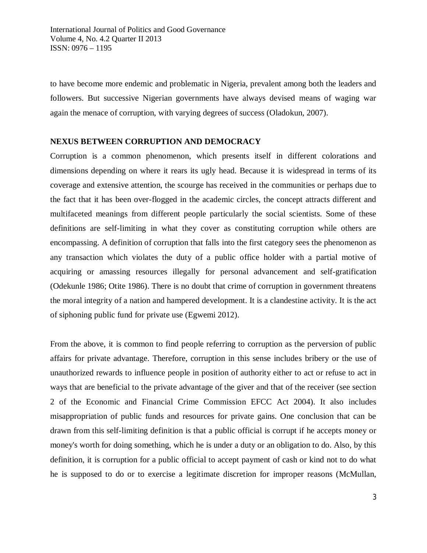to have become more endemic and problematic in Nigeria, prevalent among both the leaders and followers. But successive Nigerian governments have always devised means of waging war again the menace of corruption, with varying degrees of success (Oladokun, 2007).

#### **NEXUS BETWEEN CORRUPTION AND DEMOCRACY**

Corruption is a common phenomenon, which presents itself in different colorations and dimensions depending on where it rears its ugly head. Because it is widespread in terms of its coverage and extensive attention, the scourge has received in the communities or perhaps due to the fact that it has been over-flogged in the academic circles, the concept attracts different and multifaceted meanings from different people particularly the social scientists. Some of these definitions are self-limiting in what they cover as constituting corruption while others are encompassing. A definition of corruption that falls into the first category sees the phenomenon as any transaction which violates the duty of a public office holder with a partial motive of acquiring or amassing resources illegally for personal advancement and self-gratification (Odekunle 1986; Otite 1986). There is no doubt that crime of corruption in government threatens the moral integrity of a nation and hampered development. It is a clandestine activity. It is the act of siphoning public fund for private use (Egwemi 2012).

From the above, it is common to find people referring to corruption as the perversion of public affairs for private advantage. Therefore, corruption in this sense includes bribery or the use of unauthorized rewards to influence people in position of authority either to act or refuse to act in ways that are beneficial to the private advantage of the giver and that of the receiver (see section 2 of the Economic and Financial Crime Commission EFCC Act 2004). It also includes misappropriation of public funds and resources for private gains. One conclusion that can be drawn from this self-limiting definition is that a public official is corrupt if he accepts money or money's worth for doing something, which he is under a duty or an obligation to do. Also, by this definition, it is corruption for a public official to accept payment of cash or kind not to do what he is supposed to do or to exercise a legitimate discretion for improper reasons (McMullan,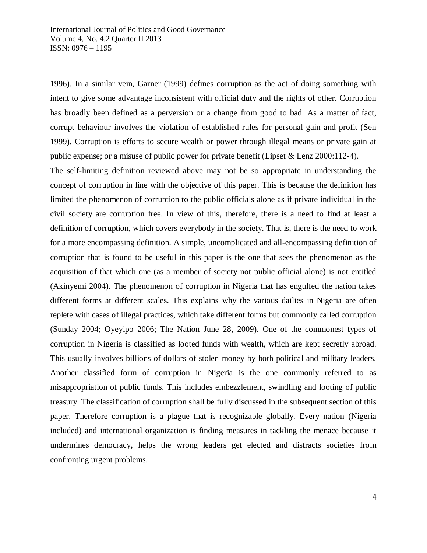1996). In a similar vein, Garner (1999) defines corruption as the act of doing something with intent to give some advantage inconsistent with official duty and the rights of other. Corruption has broadly been defined as a perversion or a change from good to bad. As a matter of fact, corrupt behaviour involves the violation of established rules for personal gain and profit (Sen 1999). Corruption is efforts to secure wealth or power through illegal means or private gain at public expense; or a misuse of public power for private benefit (Lipset & Lenz 2000:112-4).

The self-limiting definition reviewed above may not be so appropriate in understanding the concept of corruption in line with the objective of this paper. This is because the definition has limited the phenomenon of corruption to the public officials alone as if private individual in the civil society are corruption free. In view of this, therefore, there is a need to find at least a definition of corruption, which covers everybody in the society. That is, there is the need to work for a more encompassing definition. A simple, uncomplicated and all-encompassing definition of corruption that is found to be useful in this paper is the one that sees the phenomenon as the acquisition of that which one (as a member of society not public official alone) is not entitled (Akinyemi 2004). The phenomenon of corruption in Nigeria that has engulfed the nation takes different forms at different scales. This explains why the various dailies in Nigeria are often replete with cases of illegal practices, which take different forms but commonly called corruption (Sunday 2004; Oyeyipo 2006; The Nation June 28, 2009). One of the commonest types of corruption in Nigeria is classified as looted funds with wealth, which are kept secretly abroad. This usually involves billions of dollars of stolen money by both political and military leaders. Another classified form of corruption in Nigeria is the one commonly referred to as misappropriation of public funds. This includes embezzlement, swindling and looting of public treasury. The classification of corruption shall be fully discussed in the subsequent section of this paper. Therefore corruption is a plague that is recognizable globally. Every nation (Nigeria included) and international organization is finding measures in tackling the menace because it undermines democracy, helps the wrong leaders get elected and distracts societies from confronting urgent problems.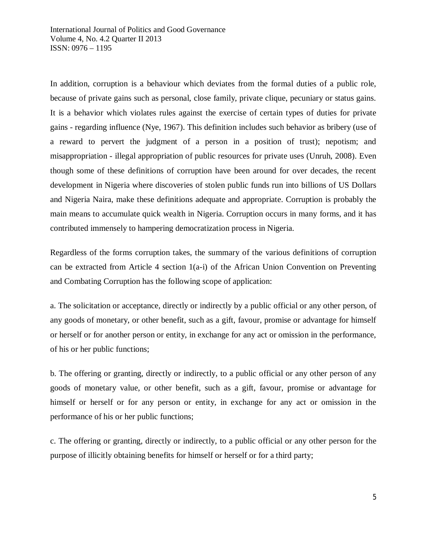In addition, corruption is a behaviour which deviates from the formal duties of a public role, because of private gains such as personal, close family, private clique, pecuniary or status gains. It is a behavior which violates rules against the exercise of certain types of duties for private gains - regarding influence (Nye, 1967). This definition includes such behavior as bribery (use of a reward to pervert the judgment of a person in a position of trust); nepotism; and misappropriation - illegal appropriation of public resources for private uses (Unruh, 2008). Even though some of these definitions of corruption have been around for over decades, the recent development in Nigeria where discoveries of stolen public funds run into billions of US Dollars and Nigeria Naira, make these definitions adequate and appropriate. Corruption is probably the main means to accumulate quick wealth in Nigeria. Corruption occurs in many forms, and it has contributed immensely to hampering democratization process in Nigeria.

Regardless of the forms corruption takes, the summary of the various definitions of corruption can be extracted from Article 4 section 1(a-i) of the African Union Convention on Preventing and Combating Corruption has the following scope of application:

a. The solicitation or acceptance, directly or indirectly by a public official or any other person, of any goods of monetary, or other benefit, such as a gift, favour, promise or advantage for himself or herself or for another person or entity, in exchange for any act or omission in the performance, of his or her public functions;

b. The offering or granting, directly or indirectly, to a public official or any other person of any goods of monetary value, or other benefit, such as a gift, favour, promise or advantage for himself or herself or for any person or entity, in exchange for any act or omission in the performance of his or her public functions;

c. The offering or granting, directly or indirectly, to a public official or any other person for the purpose of illicitly obtaining benefits for himself or herself or for a third party;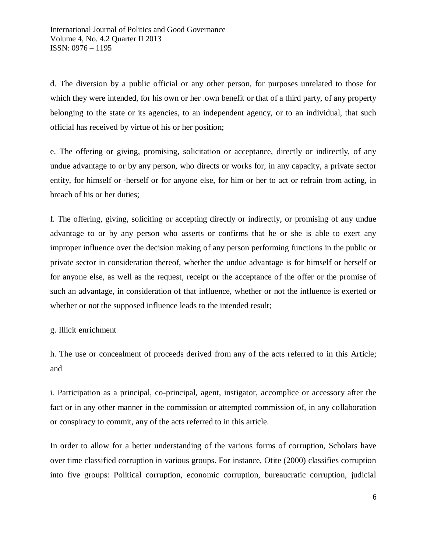d. The diversion by a public official or any other person, for purposes unrelated to those for which they were intended, for his own or her .own benefit or that of a third party, of any property belonging to the state or its agencies, to an independent agency, or to an individual, that such official has received by virtue of his or her position;

e. The offering or giving, promising, solicitation or acceptance, directly or indirectly, of any undue advantage to or by any person, who directs or works for, in any capacity, a private sector entity, for himself or ·herself or for anyone else, for him or her to act or refrain from acting, in breach of his or her duties;

f. The offering, giving, soliciting or accepting directly or indirectly, or promising of any undue advantage to or by any person who asserts or confirms that he or she is able to exert any improper influence over the decision making of any person performing functions in the public or private sector in consideration thereof, whether the undue advantage is for himself or herself or for anyone else, as well as the request, receipt or the acceptance of the offer or the promise of such an advantage, in consideration of that influence, whether or not the influence is exerted or whether or not the supposed influence leads to the intended result;

g. Illicit enrichment

h. The use or concealment of proceeds derived from any of the acts referred to in this Article; and

i. Participation as a principal, co-principal, agent, instigator, accomplice or accessory after the fact or in any other manner in the commission or attempted commission of, in any collaboration or conspiracy to commit, any of the acts referred to in this article.

In order to allow for a better understanding of the various forms of corruption, Scholars have over time classified corruption in various groups. For instance, Otite (2000) classifies corruption into five groups: Political corruption, economic corruption, bureaucratic corruption, judicial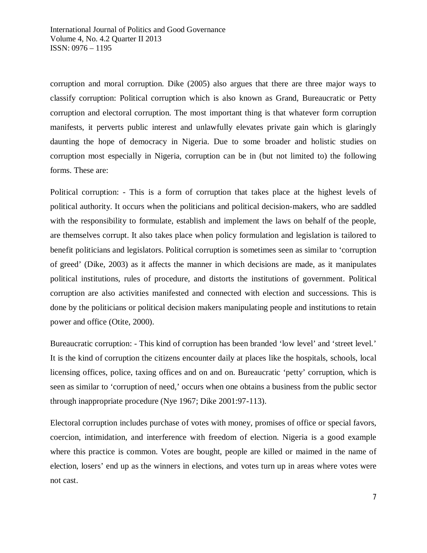corruption and moral corruption. Dike (2005) also argues that there are three major ways to classify corruption: Political corruption which is also known as Grand, Bureaucratic or Petty corruption and electoral corruption. The most important thing is that whatever form corruption manifests, it perverts public interest and unlawfully elevates private gain which is glaringly daunting the hope of democracy in Nigeria. Due to some broader and holistic studies on corruption most especially in Nigeria, corruption can be in (but not limited to) the following forms. These are:

Political corruption: - This is a form of corruption that takes place at the highest levels of political authority. It occurs when the politicians and political decision-makers, who are saddled with the responsibility to formulate, establish and implement the laws on behalf of the people, are themselves corrupt. It also takes place when policy formulation and legislation is tailored to benefit politicians and legislators. Political corruption is sometimes seen as similar to 'corruption of greed' (Dike, 2003) as it affects the manner in which decisions are made, as it manipulates political institutions, rules of procedure, and distorts the institutions of government. Political corruption are also activities manifested and connected with election and successions. This is done by the politicians or political decision makers manipulating people and institutions to retain power and office (Otite, 2000).

Bureaucratic corruption: - This kind of corruption has been branded 'low level' and 'street level.' It is the kind of corruption the citizens encounter daily at places like the hospitals, schools, local licensing offices, police, taxing offices and on and on. Bureaucratic 'petty' corruption, which is seen as similar to 'corruption of need,' occurs when one obtains a business from the public sector through inappropriate procedure (Nye 1967; Dike 2001:97-113).

Electoral corruption includes purchase of votes with money, promises of office or special favors, coercion, intimidation, and interference with freedom of election. Nigeria is a good example where this practice is common. Votes are bought, people are killed or maimed in the name of election, losers' end up as the winners in elections, and votes turn up in areas where votes were not cast.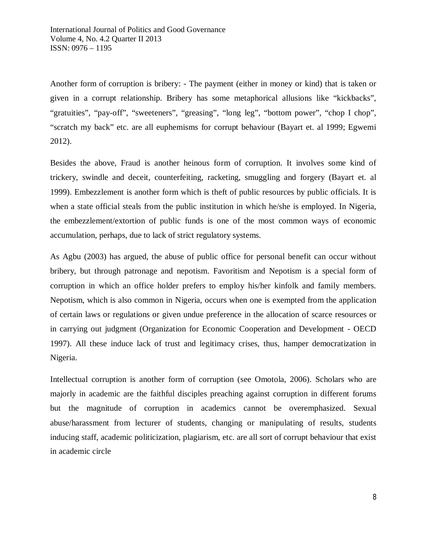Another form of corruption is bribery: - The payment (either in money or kind) that is taken or given in a corrupt relationship. Bribery has some metaphorical allusions like "kickbacks", "gratuities", "pay-off", "sweeteners", "greasing", "long leg", "bottom power", "chop I chop", "scratch my back" etc. are all euphemisms for corrupt behaviour (Bayart et. al 1999; Egwemi 2012).

Besides the above, Fraud is another heinous form of corruption. It involves some kind of trickery, swindle and deceit, counterfeiting, racketing, smuggling and forgery (Bayart et. al 1999). Embezzlement is another form which is theft of public resources by public officials. It is when a state official steals from the public institution in which he/she is employed. In Nigeria, the embezzlement/extortion of public funds is one of the most common ways of economic accumulation, perhaps, due to lack of strict regulatory systems.

As Agbu (2003) has argued, the abuse of public office for personal benefit can occur without bribery, but through patronage and nepotism. Favoritism and Nepotism is a special form of corruption in which an office holder prefers to employ his/her kinfolk and family members. Nepotism, which is also common in Nigeria, occurs when one is exempted from the application of certain laws or regulations or given undue preference in the allocation of scarce resources or in carrying out judgment (Organization for Economic Cooperation and Development - OECD 1997). All these induce lack of trust and legitimacy crises, thus, hamper democratization in Nigeria.

Intellectual corruption is another form of corruption (see Omotola, 2006). Scholars who are majorly in academic are the faithful disciples preaching against corruption in different forums but the magnitude of corruption in academics cannot be overemphasized. Sexual abuse/harassment from lecturer of students, changing or manipulating of results, students inducing staff, academic politicization, plagiarism, etc. are all sort of corrupt behaviour that exist in academic circle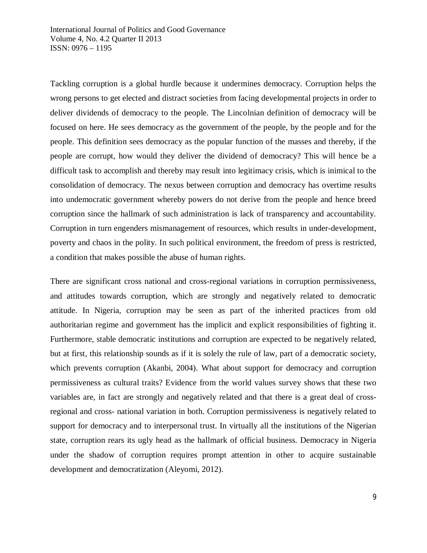Tackling corruption is a global hurdle because it undermines democracy. Corruption helps the wrong persons to get elected and distract societies from facing developmental projects in order to deliver dividends of democracy to the people. The Lincolnian definition of democracy will be focused on here. He sees democracy as the government of the people, by the people and for the people. This definition sees democracy as the popular function of the masses and thereby, if the people are corrupt, how would they deliver the dividend of democracy? This will hence be a difficult task to accomplish and thereby may result into legitimacy crisis, which is inimical to the consolidation of democracy. The nexus between corruption and democracy has overtime results into undemocratic government whereby powers do not derive from the people and hence breed corruption since the hallmark of such administration is lack of transparency and accountability. Corruption in turn engenders mismanagement of resources, which results in under-development, poverty and chaos in the polity. In such political environment, the freedom of press is restricted, a condition that makes possible the abuse of human rights.

There are significant cross national and cross-regional variations in corruption permissiveness, and attitudes towards corruption, which are strongly and negatively related to democratic attitude. In Nigeria, corruption may be seen as part of the inherited practices from old authoritarian regime and government has the implicit and explicit responsibilities of fighting it. Furthermore, stable democratic institutions and corruption are expected to be negatively related, but at first, this relationship sounds as if it is solely the rule of law, part of a democratic society, which prevents corruption (Akanbi, 2004). What about support for democracy and corruption permissiveness as cultural traits? Evidence from the world values survey shows that these two variables are, in fact are strongly and negatively related and that there is a great deal of crossregional and cross- national variation in both. Corruption permissiveness is negatively related to support for democracy and to interpersonal trust. In virtually all the institutions of the Nigerian state, corruption rears its ugly head as the hallmark of official business. Democracy in Nigeria under the shadow of corruption requires prompt attention in other to acquire sustainable development and democratization (Aleyomi, 2012).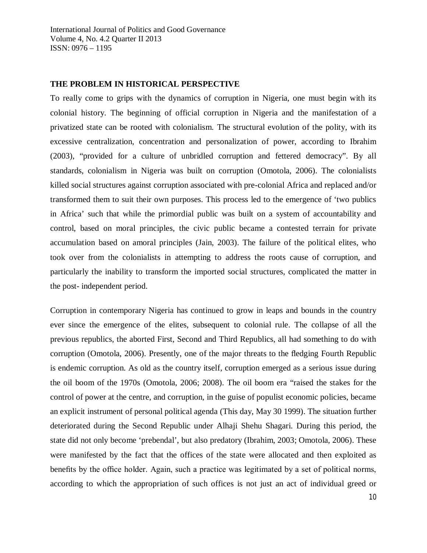# **THE PROBLEM IN HISTORICAL PERSPECTIVE**

To really come to grips with the dynamics of corruption in Nigeria, one must begin with its colonial history. The beginning of official corruption in Nigeria and the manifestation of a privatized state can be rooted with colonialism. The structural evolution of the polity, with its excessive centralization, concentration and personalization of power, according to Ibrahim (2003), "provided for a culture of unbridled corruption and fettered democracy". By all standards, colonialism in Nigeria was built on corruption (Omotola, 2006). The colonialists killed social structures against corruption associated with pre-colonial Africa and replaced and/or transformed them to suit their own purposes. This process led to the emergence of 'two publics in Africa' such that while the primordial public was built on a system of accountability and control, based on moral principles, the civic public became a contested terrain for private accumulation based on amoral principles (Jain, 2003). The failure of the political elites, who took over from the colonialists in attempting to address the roots cause of corruption, and particularly the inability to transform the imported social structures, complicated the matter in the post- independent period.

Corruption in contemporary Nigeria has continued to grow in leaps and bounds in the country ever since the emergence of the elites, subsequent to colonial rule. The collapse of all the previous republics, the aborted First, Second and Third Republics, all had something to do with corruption (Omotola, 2006). Presently, one of the major threats to the fledging Fourth Republic is endemic corruption. As old as the country itself, corruption emerged as a serious issue during the oil boom of the 1970s (Omotola, 2006; 2008). The oil boom era "raised the stakes for the control of power at the centre, and corruption, in the guise of populist economic policies, became an explicit instrument of personal political agenda (This day, May 30 1999). The situation further deteriorated during the Second Republic under Alhaji Shehu Shagari. During this period, the state did not only become 'prebendal', but also predatory (Ibrahim, 2003; Omotola, 2006). These were manifested by the fact that the offices of the state were allocated and then exploited as benefits by the office holder. Again, such a practice was legitimated by a set of political norms, according to which the appropriation of such offices is not just an act of individual greed or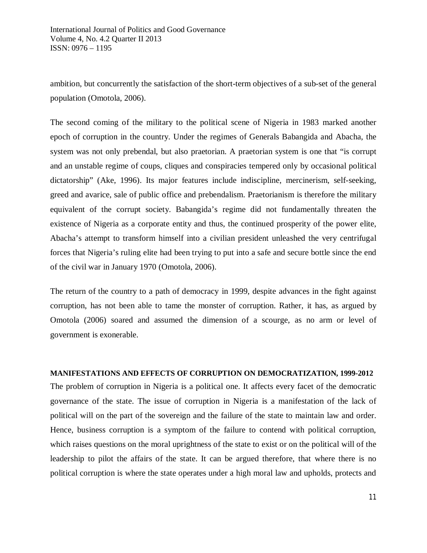ambition, but concurrently the satisfaction of the short-term objectives of a sub-set of the general population (Omotola, 2006).

The second coming of the military to the political scene of Nigeria in 1983 marked another epoch of corruption in the country. Under the regimes of Generals Babangida and Abacha, the system was not only prebendal, but also praetorian. A praetorian system is one that "is corrupt and an unstable regime of coups, cliques and conspiracies tempered only by occasional political dictatorship" (Ake, 1996). Its major features include indiscipline, mercinerism, self-seeking, greed and avarice, sale of public office and prebendalism. Praetorianism is therefore the military equivalent of the corrupt society. Babangida's regime did not fundamentally threaten the existence of Nigeria as a corporate entity and thus, the continued prosperity of the power elite, Abacha's attempt to transform himself into a civilian president unleashed the very centrifugal forces that Nigeria's ruling elite had been trying to put into a safe and secure bottle since the end of the civil war in January 1970 (Omotola, 2006).

The return of the country to a path of democracy in 1999, despite advances in the fight against corruption, has not been able to tame the monster of corruption. Rather, it has, as argued by Omotola (2006) soared and assumed the dimension of a scourge, as no arm or level of government is exonerable.

#### **MANIFESTATIONS AND EFFECTS OF CORRUPTION ON DEMOCRATIZATION, 1999-2012**

The problem of corruption in Nigeria is a political one. It affects every facet of the democratic governance of the state. The issue of corruption in Nigeria is a manifestation of the lack of political will on the part of the sovereign and the failure of the state to maintain law and order. Hence, business corruption is a symptom of the failure to contend with political corruption, which raises questions on the moral uprightness of the state to exist or on the political will of the leadership to pilot the affairs of the state. It can be argued therefore, that where there is no political corruption is where the state operates under a high moral law and upholds, protects and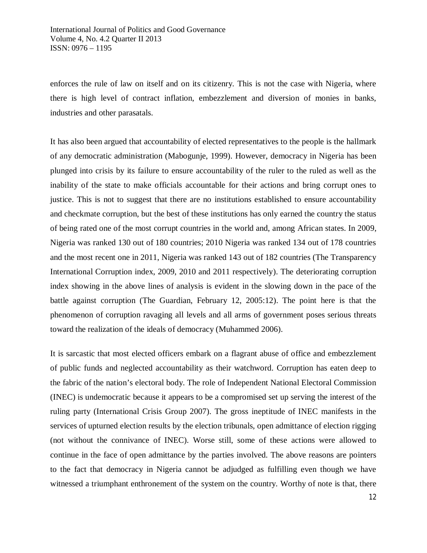enforces the rule of law on itself and on its citizenry. This is not the case with Nigeria, where there is high level of contract inflation, embezzlement and diversion of monies in banks, industries and other parasatals.

It has also been argued that accountability of elected representatives to the people is the hallmark of any democratic administration (Mabogunje, 1999). However, democracy in Nigeria has been plunged into crisis by its failure to ensure accountability of the ruler to the ruled as well as the inability of the state to make officials accountable for their actions and bring corrupt ones to justice. This is not to suggest that there are no institutions established to ensure accountability and checkmate corruption, but the best of these institutions has only earned the country the status of being rated one of the most corrupt countries in the world and, among African states. In 2009, Nigeria was ranked 130 out of 180 countries; 2010 Nigeria was ranked 134 out of 178 countries and the most recent one in 2011, Nigeria was ranked 143 out of 182 countries (The Transparency International Corruption index, 2009, 2010 and 2011 respectively). The deteriorating corruption index showing in the above lines of analysis is evident in the slowing down in the pace of the battle against corruption (The Guardian, February 12, 2005:12). The point here is that the phenomenon of corruption ravaging all levels and all arms of government poses serious threats toward the realization of the ideals of democracy (Muhammed 2006).

It is sarcastic that most elected officers embark on a flagrant abuse of office and embezzlement of public funds and neglected accountability as their watchword. Corruption has eaten deep to the fabric of the nation's electoral body. The role of Independent National Electoral Commission (INEC) is undemocratic because it appears to be a compromised set up serving the interest of the ruling party (International Crisis Group 2007). The gross ineptitude of INEC manifests in the services of upturned election results by the election tribunals, open admittance of election rigging (not without the connivance of INEC). Worse still, some of these actions were allowed to continue in the face of open admittance by the parties involved. The above reasons are pointers to the fact that democracy in Nigeria cannot be adjudged as fulfilling even though we have witnessed a triumphant enthronement of the system on the country. Worthy of note is that, there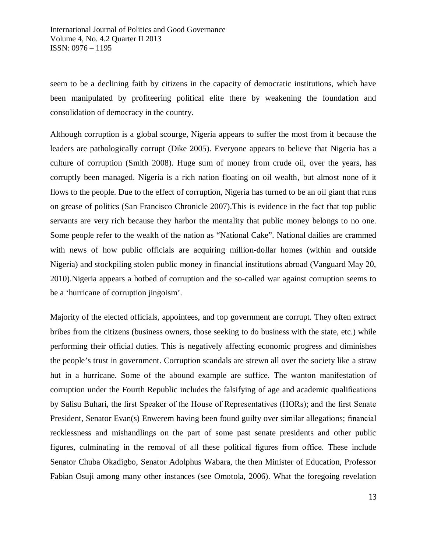seem to be a declining faith by citizens in the capacity of democratic institutions, which have been manipulated by profiteering political elite there by weakening the foundation and consolidation of democracy in the country.

Although corruption is a global scourge, Nigeria appears to suffer the most from it because the leaders are pathologically corrupt (Dike 2005). Everyone appears to believe that Nigeria has a culture of corruption (Smith 2008). Huge sum of money from crude oil, over the years, has corruptly been managed. Nigeria is a rich nation floating on oil wealth, but almost none of it flows to the people. Due to the effect of corruption, Nigeria has turned to be an oil giant that runs on grease of politics (San Francisco Chronicle 2007).This is evidence in the fact that top public servants are very rich because they harbor the mentality that public money belongs to no one. Some people refer to the wealth of the nation as "National Cake". National dailies are crammed with news of how public officials are acquiring million-dollar homes (within and outside Nigeria) and stockpiling stolen public money in financial institutions abroad (Vanguard May 20, 2010).Nigeria appears a hotbed of corruption and the so-called war against corruption seems to be a 'hurricane of corruption jingoism'.

Majority of the elected officials, appointees, and top government are corrupt. They often extract bribes from the citizens (business owners, those seeking to do business with the state, etc.) while performing their official duties. This is negatively affecting economic progress and diminishes the people's trust in government. Corruption scandals are strewn all over the society like a straw hut in a hurricane. Some of the abound example are suffice. The wanton manifestation of corruption under the Fourth Republic includes the falsifying of age and academic qualifications by Salisu Buhari, the first Speaker of the House of Representatives (HORs); and the first Senate President, Senator Evan(s) Enwerem having been found guilty over similar allegations; financial recklessness and mishandlings on the part of some past senate presidents and other public figures, culminating in the removal of all these political figures from office. These include Senator Chuba Okadigbo, Senator Adolphus Wabara, the then Minister of Education, Professor Fabian Osuji among many other instances (see Omotola, 2006). What the foregoing revelation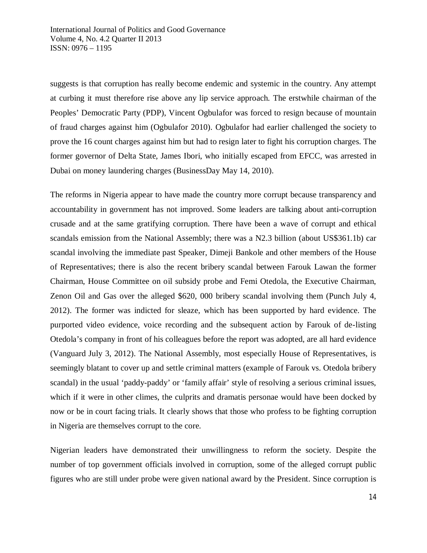suggests is that corruption has really become endemic and systemic in the country. Any attempt at curbing it must therefore rise above any lip service approach. The erstwhile chairman of the Peoples' Democratic Party (PDP), Vincent Ogbulafor was forced to resign because of mountain of fraud charges against him (Ogbulafor 2010). Ogbulafor had earlier challenged the society to prove the 16 count charges against him but had to resign later to fight his corruption charges. The former governor of Delta State, James Ibori, who initially escaped from EFCC, was arrested in Dubai on money laundering charges (BusinessDay May 14, 2010).

The reforms in Nigeria appear to have made the country more corrupt because transparency and accountability in government has not improved. Some leaders are talking about anti-corruption crusade and at the same gratifying corruption. There have been a wave of corrupt and ethical scandals emission from the National Assembly; there was a N2.3 billion (about US\$361.1b) car scandal involving the immediate past Speaker, Dimeji Bankole and other members of the House of Representatives; there is also the recent bribery scandal between Farouk Lawan the former Chairman, House Committee on oil subsidy probe and Femi Otedola, the Executive Chairman, Zenon Oil and Gas over the alleged \$620, 000 bribery scandal involving them (Punch July 4, 2012). The former was indicted for sleaze, which has been supported by hard evidence. The purported video evidence, voice recording and the subsequent action by Farouk of de-listing Otedola's company in front of his colleagues before the report was adopted, are all hard evidence (Vanguard July 3, 2012). The National Assembly, most especially House of Representatives, is seemingly blatant to cover up and settle criminal matters (example of Farouk vs. Otedola bribery scandal) in the usual 'paddy-paddy' or 'family affair' style of resolving a serious criminal issues, which if it were in other climes, the culprits and dramatis personae would have been docked by now or be in court facing trials. It clearly shows that those who profess to be fighting corruption in Nigeria are themselves corrupt to the core.

Nigerian leaders have demonstrated their unwillingness to reform the society. Despite the number of top government officials involved in corruption, some of the alleged corrupt public figures who are still under probe were given national award by the President. Since corruption is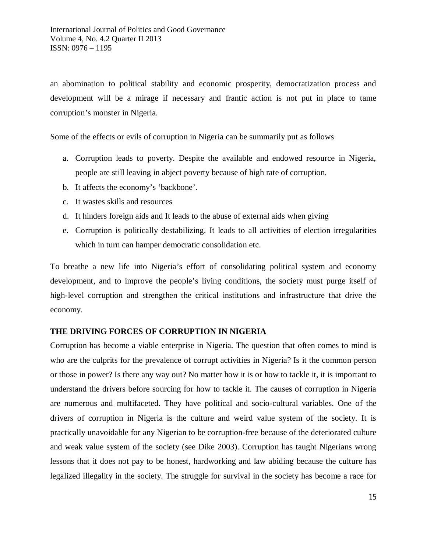an abomination to political stability and economic prosperity, democratization process and development will be a mirage if necessary and frantic action is not put in place to tame corruption's monster in Nigeria.

Some of the effects or evils of corruption in Nigeria can be summarily put as follows

- a. Corruption leads to poverty. Despite the available and endowed resource in Nigeria, people are still leaving in abject poverty because of high rate of corruption.
- b. It affects the economy's 'backbone'.
- c. It wastes skills and resources
- d. It hinders foreign aids and It leads to the abuse of external aids when giving
- e. Corruption is politically destabilizing. It leads to all activities of election irregularities which in turn can hamper democratic consolidation etc.

To breathe a new life into Nigeria's effort of consolidating political system and economy development, and to improve the people's living conditions, the society must purge itself of high-level corruption and strengthen the critical institutions and infrastructure that drive the economy.

# **THE DRIVING FORCES OF CORRUPTION IN NIGERIA**

Corruption has become a viable enterprise in Nigeria. The question that often comes to mind is who are the culprits for the prevalence of corrupt activities in Nigeria? Is it the common person or those in power? Is there any way out? No matter how it is or how to tackle it, it is important to understand the drivers before sourcing for how to tackle it. The causes of corruption in Nigeria are numerous and multifaceted. They have political and socio-cultural variables. One of the drivers of corruption in Nigeria is the culture and weird value system of the society. It is practically unavoidable for any Nigerian to be corruption-free because of the deteriorated culture and weak value system of the society (see Dike 2003). Corruption has taught Nigerians wrong lessons that it does not pay to be honest, hardworking and law abiding because the culture has legalized illegality in the society. The struggle for survival in the society has become a race for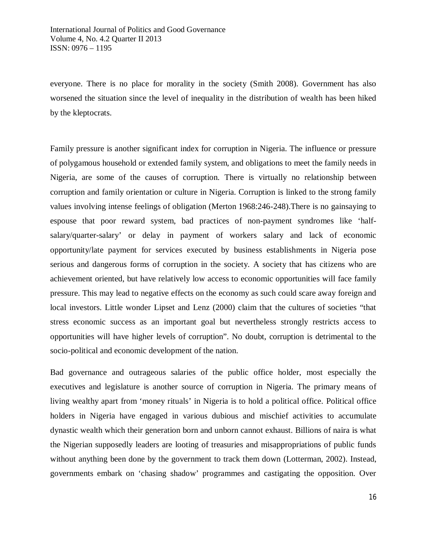everyone. There is no place for morality in the society (Smith 2008). Government has also worsened the situation since the level of inequality in the distribution of wealth has been hiked by the kleptocrats.

Family pressure is another significant index for corruption in Nigeria. The influence or pressure of polygamous household or extended family system, and obligations to meet the family needs in Nigeria, are some of the causes of corruption. There is virtually no relationship between corruption and family orientation or culture in Nigeria. Corruption is linked to the strong family values involving intense feelings of obligation (Merton 1968:246-248).There is no gainsaying to espouse that poor reward system, bad practices of non-payment syndromes like 'halfsalary/quarter-salary' or delay in payment of workers salary and lack of economic opportunity/late payment for services executed by business establishments in Nigeria pose serious and dangerous forms of corruption in the society. A society that has citizens who are achievement oriented, but have relatively low access to economic opportunities will face family pressure. This may lead to negative effects on the economy as such could scare away foreign and local investors. Little wonder Lipset and Lenz (2000) claim that the cultures of societies "that stress economic success as an important goal but nevertheless strongly restricts access to opportunities will have higher levels of corruption". No doubt, corruption is detrimental to the socio-political and economic development of the nation.

Bad governance and outrageous salaries of the public office holder, most especially the executives and legislature is another source of corruption in Nigeria. The primary means of living wealthy apart from 'money rituals' in Nigeria is to hold a political office. Political office holders in Nigeria have engaged in various dubious and mischief activities to accumulate dynastic wealth which their generation born and unborn cannot exhaust. Billions of naira is what the Nigerian supposedly leaders are looting of treasuries and misappropriations of public funds without anything been done by the government to track them down (Lotterman, 2002). Instead, governments embark on 'chasing shadow' programmes and castigating the opposition. Over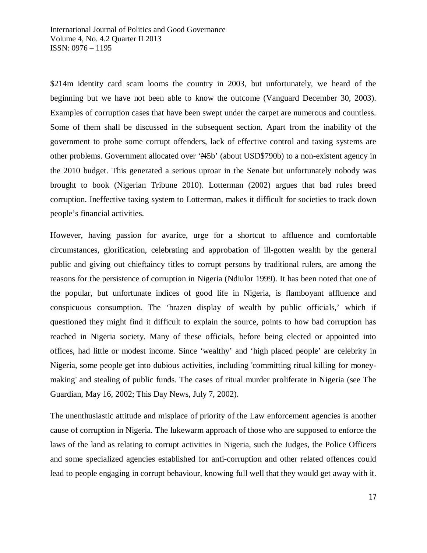\$214m identity card scam looms the country in 2003, but unfortunately, we heard of the beginning but we have not been able to know the outcome (Vanguard December 30, 2003). Examples of corruption cases that have been swept under the carpet are numerous and countless. Some of them shall be discussed in the subsequent section. Apart from the inability of the government to probe some corrupt offenders, lack of effective control and taxing systems are other problems. Government allocated over 'N5b' (about USD\$790b) to a non-existent agency in the 2010 budget. This generated a serious uproar in the Senate but unfortunately nobody was brought to book (Nigerian Tribune 2010). Lotterman (2002) argues that bad rules breed corruption. Ineffective taxing system to Lotterman, makes it difficult for societies to track down people's financial activities.

However, having passion for avarice, urge for a shortcut to affluence and comfortable circumstances, glorification, celebrating and approbation of ill-gotten wealth by the general public and giving out chieftaincy titles to corrupt persons by traditional rulers, are among the reasons for the persistence of corruption in Nigeria (Ndiulor 1999). It has been noted that one of the popular, but unfortunate indices of good life in Nigeria, is flamboyant affluence and conspicuous consumption. The 'brazen display of wealth by public officials,' which if questioned they might find it difficult to explain the source, points to how bad corruption has reached in Nigeria society. Many of these officials, before being elected or appointed into offices, had little or modest income. Since 'wealthy' and 'high placed people' are celebrity in Nigeria, some people get into dubious activities, including 'committing ritual killing for moneymaking' and stealing of public funds. The cases of ritual murder proliferate in Nigeria (see The Guardian, May 16, 2002; This Day News, July 7, 2002).

The unenthusiastic attitude and misplace of priority of the Law enforcement agencies is another cause of corruption in Nigeria. The lukewarm approach of those who are supposed to enforce the laws of the land as relating to corrupt activities in Nigeria, such the Judges, the Police Officers and some specialized agencies established for anti-corruption and other related offences could lead to people engaging in corrupt behaviour, knowing full well that they would get away with it.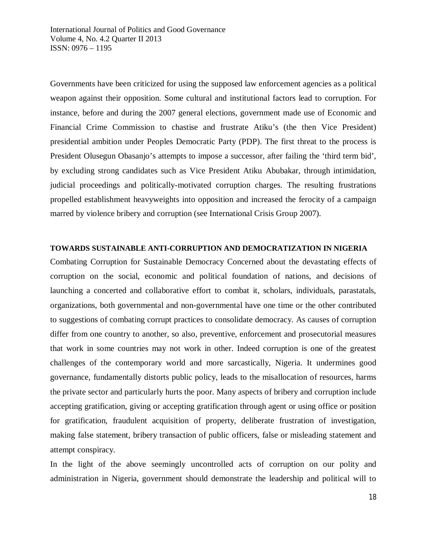Governments have been criticized for using the supposed law enforcement agencies as a political weapon against their opposition. Some cultural and institutional factors lead to corruption. For instance, before and during the 2007 general elections, government made use of Economic and Financial Crime Commission to chastise and frustrate Atiku's (the then Vice President) presidential ambition under Peoples Democratic Party (PDP). The first threat to the process is President Olusegun Obasanjo's attempts to impose a successor, after failing the 'third term bid', by excluding strong candidates such as Vice President Atiku Abubakar, through intimidation, judicial proceedings and politically-motivated corruption charges. The resulting frustrations propelled establishment heavyweights into opposition and increased the ferocity of a campaign marred by violence bribery and corruption (see International Crisis Group 2007).

# **TOWARDS SUSTAINABLE ANTI-CORRUPTION AND DEMOCRATIZATION IN NIGERIA**

Combating Corruption for Sustainable Democracy Concerned about the devastating effects of corruption on the social, economic and political foundation of nations, and decisions of launching a concerted and collaborative effort to combat it, scholars, individuals, parastatals, organizations, both governmental and non-governmental have one time or the other contributed to suggestions of combating corrupt practices to consolidate democracy. As causes of corruption differ from one country to another, so also, preventive, enforcement and prosecutorial measures that work in some countries may not work in other. Indeed corruption is one of the greatest challenges of the contemporary world and more sarcastically, Nigeria. It undermines good governance, fundamentally distorts public policy, leads to the misallocation of resources, harms the private sector and particularly hurts the poor. Many aspects of bribery and corruption include accepting gratification, giving or accepting gratification through agent or using office or position for gratification, fraudulent acquisition of property, deliberate frustration of investigation, making false statement, bribery transaction of public officers, false or misleading statement and attempt conspiracy.

In the light of the above seemingly uncontrolled acts of corruption on our polity and administration in Nigeria, government should demonstrate the leadership and political will to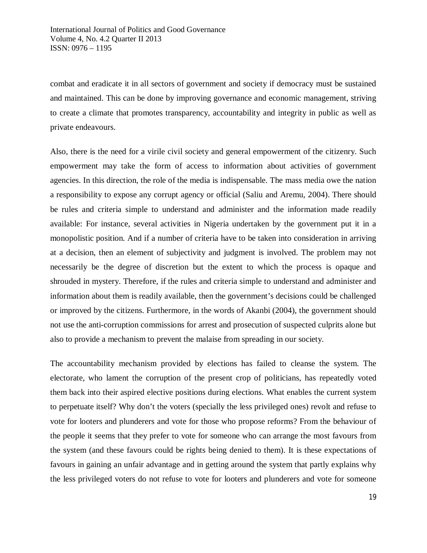combat and eradicate it in all sectors of government and society if democracy must be sustained and maintained. This can be done by improving governance and economic management, striving to create a climate that promotes transparency, accountability and integrity in public as well as private endeavours.

Also, there is the need for a virile civil society and general empowerment of the citizenry. Such empowerment may take the form of access to information about activities of government agencies. In this direction, the role of the media is indispensable. The mass media owe the nation a responsibility to expose any corrupt agency or official (Saliu and Aremu, 2004). There should be rules and criteria simple to understand and administer and the information made readily available: For instance, several activities in Nigeria undertaken by the government put it in a monopolistic position. And if a number of criteria have to be taken into consideration in arriving at a decision, then an element of subjectivity and judgment is involved. The problem may not necessarily be the degree of discretion but the extent to which the process is opaque and shrouded in mystery. Therefore, if the rules and criteria simple to understand and administer and information about them is readily available, then the government's decisions could be challenged or improved by the citizens. Furthermore, in the words of Akanbi (2004), the government should not use the anti-corruption commissions for arrest and prosecution of suspected culprits alone but also to provide a mechanism to prevent the malaise from spreading in our society.

The accountability mechanism provided by elections has failed to cleanse the system. The electorate, who lament the corruption of the present crop of politicians, has repeatedly voted them back into their aspired elective positions during elections. What enables the current system to perpetuate itself? Why don't the voters (specially the less privileged ones) revolt and refuse to vote for looters and plunderers and vote for those who propose reforms? From the behaviour of the people it seems that they prefer to vote for someone who can arrange the most favours from the system (and these favours could be rights being denied to them). It is these expectations of favours in gaining an unfair advantage and in getting around the system that partly explains why the less privileged voters do not refuse to vote for looters and plunderers and vote for someone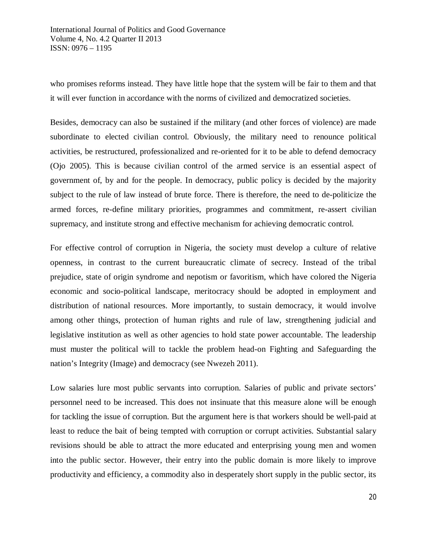who promises reforms instead. They have little hope that the system will be fair to them and that it will ever function in accordance with the norms of civilized and democratized societies.

Besides, democracy can also be sustained if the military (and other forces of violence) are made subordinate to elected civilian control. Obviously, the military need to renounce political activities, be restructured, professionalized and re-oriented for it to be able to defend democracy (Ojo 2005). This is because civilian control of the armed service is an essential aspect of government of, by and for the people. In democracy, public policy is decided by the majority subject to the rule of law instead of brute force. There is therefore, the need to de-politicize the armed forces, re-define military priorities, programmes and commitment, re-assert civilian supremacy, and institute strong and effective mechanism for achieving democratic control.

For effective control of corruption in Nigeria, the society must develop a culture of relative openness, in contrast to the current bureaucratic climate of secrecy. Instead of the tribal prejudice, state of origin syndrome and nepotism or favoritism, which have colored the Nigeria economic and socio-political landscape, meritocracy should be adopted in employment and distribution of national resources. More importantly, to sustain democracy, it would involve among other things, protection of human rights and rule of law, strengthening judicial and legislative institution as well as other agencies to hold state power accountable. The leadership must muster the political will to tackle the problem head-on Fighting and Safeguarding the nation's Integrity (Image) and democracy (see Nwezeh 2011).

Low salaries lure most public servants into corruption. Salaries of public and private sectors' personnel need to be increased. This does not insinuate that this measure alone will be enough for tackling the issue of corruption. But the argument here is that workers should be well-paid at least to reduce the bait of being tempted with corruption or corrupt activities. Substantial salary revisions should be able to attract the more educated and enterprising young men and women into the public sector. However, their entry into the public domain is more likely to improve productivity and efficiency, a commodity also in desperately short supply in the public sector, its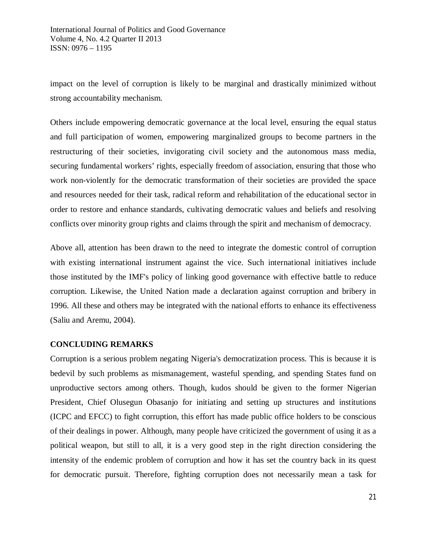impact on the level of corruption is likely to be marginal and drastically minimized without strong accountability mechanism.

Others include empowering democratic governance at the local level, ensuring the equal status and full participation of women, empowering marginalized groups to become partners in the restructuring of their societies, invigorating civil society and the autonomous mass media, securing fundamental workers' rights, especially freedom of association, ensuring that those who work non-violently for the democratic transformation of their societies are provided the space and resources needed for their task, radical reform and rehabilitation of the educational sector in order to restore and enhance standards, cultivating democratic values and beliefs and resolving conflicts over minority group rights and claims through the spirit and mechanism of democracy.

Above all, attention has been drawn to the need to integrate the domestic control of corruption with existing international instrument against the vice. Such international initiatives include those instituted by the IMF's policy of linking good governance with effective battle to reduce corruption. Likewise, the United Nation made a declaration against corruption and bribery in 1996. All these and others may be integrated with the national efforts to enhance its effectiveness (Saliu and Aremu, 2004).

# **CONCLUDING REMARKS**

Corruption is a serious problem negating Nigeria's democratization process. This is because it is bedevil by such problems as mismanagement, wasteful spending, and spending States fund on unproductive sectors among others. Though, kudos should be given to the former Nigerian President, Chief Olusegun Obasanjo for initiating and setting up structures and institutions (ICPC and EFCC) to fight corruption, this effort has made public office holders to be conscious of their dealings in power. Although, many people have criticized the government of using it as a political weapon, but still to all, it is a very good step in the right direction considering the intensity of the endemic problem of corruption and how it has set the country back in its quest for democratic pursuit. Therefore, fighting corruption does not necessarily mean a task for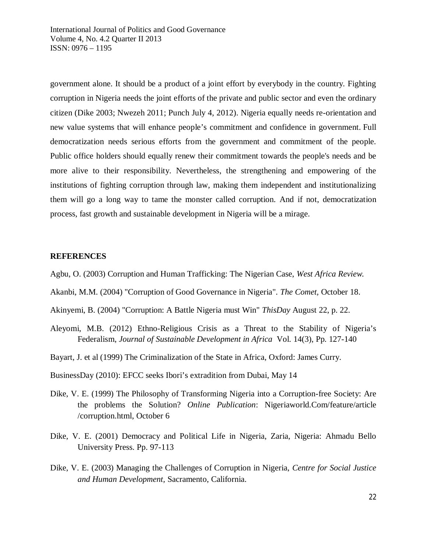International Journal of Politics and Good Governance Volume 4, No. 4.2 Quarter II 2013 ISSN: 0976 – 1195

government alone. It should be a product of a joint effort by everybody in the country. Fighting corruption in Nigeria needs the joint efforts of the private and public sector and even the ordinary citizen (Dike 2003; Nwezeh 2011; Punch July 4, 2012). Nigeria equally needs re-orientation and new value systems that will enhance people's commitment and confidence in government. Full democratization needs serious efforts from the government and commitment of the people. Public office holders should equally renew their commitment towards the people's needs and be more alive to their responsibility. Nevertheless, the strengthening and empowering of the institutions of fighting corruption through law, making them independent and institutionalizing them will go a long way to tame the monster called corruption. And if not, democratization process, fast growth and sustainable development in Nigeria will be a mirage.

#### **REFERENCES**

- Agbu, O. (2003) Corruption and Human Trafficking: The Nigerian Case, *West Africa Review.*
- Akanbi, M.M. (2004) "Corruption of Good Governance in Nigeria". *The Comet,* October 18.
- Akinyemi, B. (2004) "Corruption: A Battle Nigeria must Win" *ThisDay* August 22, p. 22.
- Aleyomi, M.B. (2012) Ethno-Religious Crisis as a Threat to the Stability of Nigeria's Federalism, *Journal of Sustainable Development in Africa* Vol. 14(3), Pp. 127-140
- Bayart, J. et al (1999) The Criminalization of the State in Africa, Oxford: James Curry.
- BusinessDay (2010): EFCC seeks Ibori's extradition from Dubai, May 14
- Dike, V. E. (1999) The Philosophy of Transforming Nigeria into a Corruption-free Society: Are the problems the Solution? *Online Publication*: Nigeriaworld.Com/feature/article /corruption.html, October 6
- Dike, V. E. (2001) Democracy and Political Life in Nigeria, Zaria, Nigeria: Ahmadu Bello University Press. Pp. 97-113
- Dike, V. E. (2003) Managing the Challenges of Corruption in Nigeria, *Centre for Social Justice and Human Development,* Sacramento, California.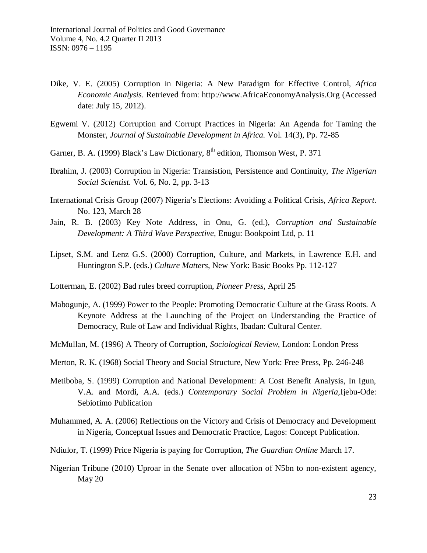- Dike, V. E. (2005) Corruption in Nigeria: A New Paradigm for Effective Control, *Africa Economic Analysis*. Retrieved from: http://www.AfricaEconomyAnalysis.Org (Accessed date: July 15, 2012).
- Egwemi V. (2012) Corruption and Corrupt Practices in Nigeria: An Agenda for Taming the Monster, *Journal of Sustainable Development in Africa.* Vol. 14(3), Pp. 72-85
- Garner, B. A. (1999) Black's Law Dictionary,  $8<sup>th</sup>$  edition, Thomson West, P. 371
- Ibrahim, J. (2003) Corruption in Nigeria: Transistion, Persistence and Continuity, *The Nigerian Social Scientist.* Vol. 6, No. 2, pp. 3-13
- International Crisis Group (2007) Nigeria's Elections: Avoiding a Political Crisis, *Africa Report.* No. 123, March 28
- Jain, R. B. (2003) Key Note Address, in Onu, G. (ed.), *Corruption and Sustainable Development: A Third Wave Perspective,* Enugu: Bookpoint Ltd, p. 11
- Lipset, S.M. and Lenz G.S. (2000) Corruption, Culture, and Markets, in Lawrence E.H. and Huntington S.P. (eds.) *Culture Matters*, New York: Basic Books Pp. 112-127
- Lotterman, E. (2002) Bad rules breed corruption, *Pioneer Press,* April 25
- Mabogunje, A. (1999) Power to the People: Promoting Democratic Culture at the Grass Roots. A Keynote Address at the Launching of the Project on Understanding the Practice of Democracy, Rule of Law and Individual Rights, Ibadan: Cultural Center.
- McMullan, M. (1996) A Theory of Corruption, *Sociological Review,* London: London Press
- Merton, R. K. (1968) Social Theory and Social Structure, New York: Free Press, Pp. 246-248
- Metiboba, S. (1999) Corruption and National Development: A Cost Benefit Analysis, In Igun, V.A. and Mordi, A.A. (eds.) *Contemporary Social Problem in Nigeria,*Ijebu-Ode: Sebiotimo Publication
- Muhammed, A. A. (2006) Reflections on the Victory and Crisis of Democracy and Development in Nigeria, Conceptual Issues and Democratic Practice, Lagos: Concept Publication.
- Ndiulor, T. (1999) Price Nigeria is paying for Corruption, *The Guardian Online* March 17.
- Nigerian Tribune (2010) Uproar in the Senate over allocation of N5bn to non-existent agency, May 20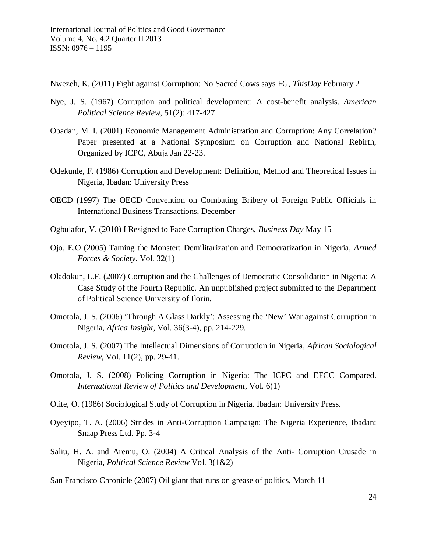Nwezeh, K. (2011) Fight against Corruption: No Sacred Cows says FG, *ThisDay* February 2

- Nye, J. S. (1967) Corruption and political development: A cost-benefit analysis. *American Political Science Review,* 51(2): 417-427.
- Obadan, M. I. (2001) Economic Management Administration and Corruption: Any Correlation? Paper presented at a National Symposium on Corruption and National Rebirth, Organized by ICPC, Abuja Jan 22-23.
- Odekunle, F. (1986) Corruption and Development: Definition, Method and Theoretical Issues in Nigeria, Ibadan: University Press
- OECD (1997) The OECD Convention on Combating Bribery of Foreign Public Officials in International Business Transactions, December
- Ogbulafor, V. (2010) I Resigned to Face Corruption Charges, *Business Day* May 15
- Ojo, E.O (2005) Taming the Monster: Demilitarization and Democratization in Nigeria, *Armed Forces & Society.* Vol. 32(1)
- Oladokun, L.F. (2007) Corruption and the Challenges of Democratic Consolidation in Nigeria: A Case Study of the Fourth Republic. An unpublished project submitted to the Department of Political Science University of Ilorin.
- Omotola, J. S. (2006) 'Through A Glass Darkly': Assessing the 'New' War against Corruption in Nigeria, *Africa Insight*, Vol. 36(3-4), pp. 214-229.
- Omotola, J. S. (2007) The Intellectual Dimensions of Corruption in Nigeria, *African Sociological Review*, Vol. 11(2), pp. 29-41.
- Omotola, J. S. (2008) Policing Corruption in Nigeria: The ICPC and EFCC Compared. *International Review of Politics and Development*, Vol. 6(1)
- Otite, O. (1986) Sociological Study of Corruption in Nigeria. Ibadan: University Press.
- Oyeyipo, T. A. (2006) Strides in Anti-Corruption Campaign: The Nigeria Experience, Ibadan: Snaap Press Ltd. Pp. 3-4
- Saliu, H. A. and Aremu, O. (2004) A Critical Analysis of the Anti- Corruption Crusade in Nigeria, *Political Science Review* Vol. 3(1&2)

San Francisco Chronicle (2007) Oil giant that runs on grease of politics, March 11